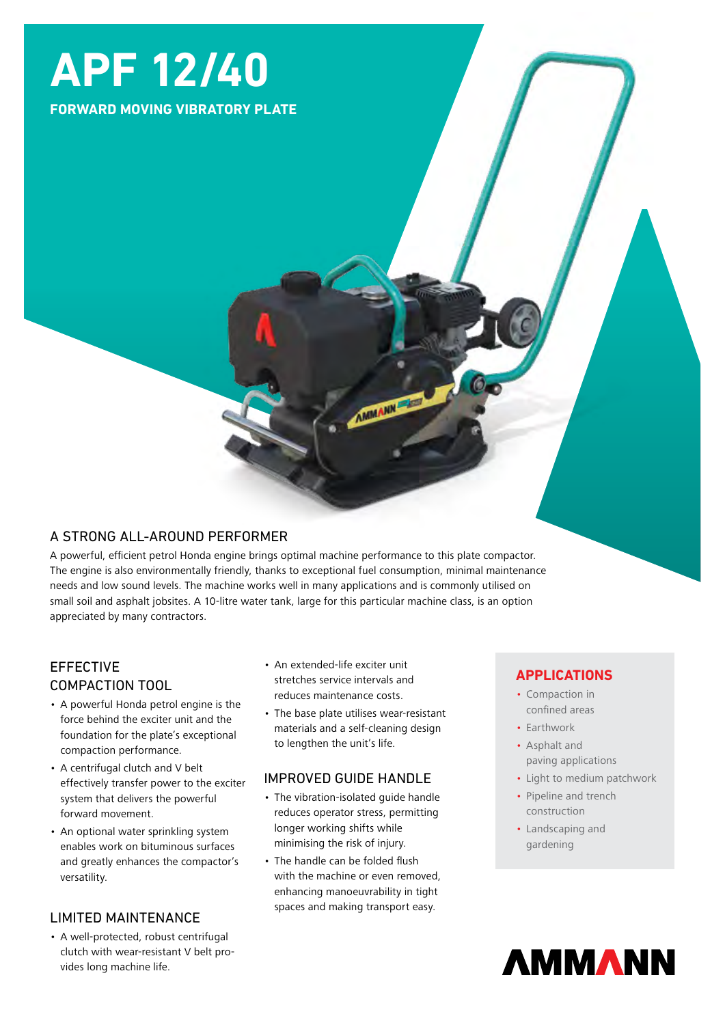# **APF 12/40**

**FORWARD MOVING VIBRATORY PLATE**

# A STRONG ALL-AROUND PERFORMER

A powerful, efficient petrol Honda engine brings optimal machine performance to this plate compactor. The engine is also environmentally friendly, thanks to exceptional fuel consumption, minimal maintenance needs and low sound levels. The machine works well in many applications and is commonly utilised on small soil and asphalt jobsites. A 10-litre water tank, large for this particular machine class, is an option appreciated by many contractors.

# EFFECTIVE COMPACTION TOOL

- A powerful Honda petrol engine is the force behind the exciter unit and the foundation for the plate's exceptional compaction performance.
- A centrifugal clutch and V belt effectively transfer power to the exciter system that delivers the powerful forward movement.
- An optional water sprinkling system enables work on bituminous surfaces and greatly enhances the compactor's versatility.

### LIMITED MAINTENANCE

• A well-protected, robust centrifugal clutch with wear-resistant V belt provides long machine life.

- An extended-life exciter unit stretches service intervals and reduces maintenance costs.
- The base plate utilises wear-resistant materials and a self-cleaning design to lengthen the unit's life.

**AMMANN** 

### IMPROVED GUIDE HANDLE

- The vibration-isolated guide handle reduces operator stress, permitting longer working shifts while minimising the risk of injury.
- The handle can be folded flush with the machine or even removed, enhancing manoeuvrability in tight spaces and making transport easy.

### **APPLICATIONS**

- Compaction in confined areas
- Earthwork
- Asphalt and paving applications
- Light to medium patchwork
- Pipeline and trench construction
- Landscaping and gardening